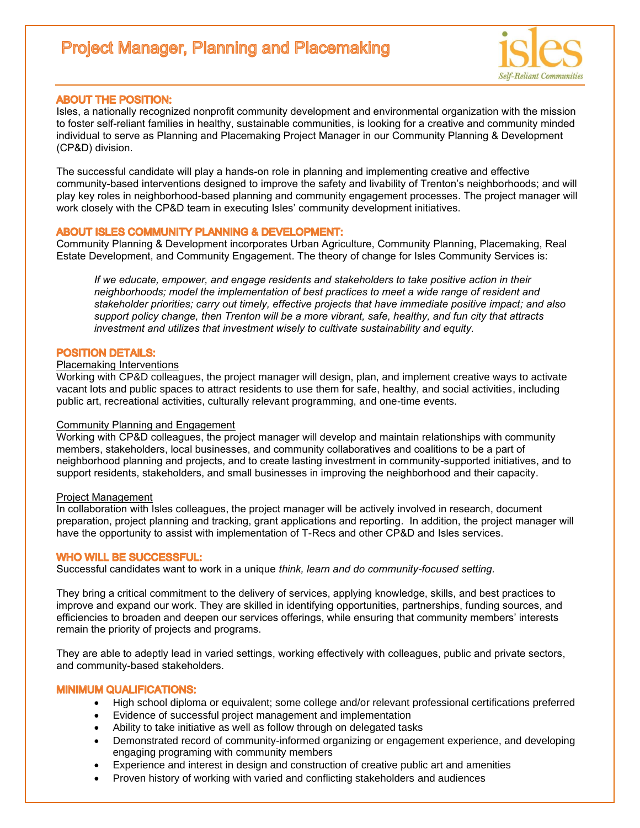# **Project Manager, Planning and Placemaking**



## **ABOUT THE POSITION:**

Isles, a nationally recognized nonprofit community development and environmental organization with the mission to foster self-reliant families in healthy, sustainable communities, is looking for a creative and community minded individual to serve as Planning and Placemaking Project Manager in our Community Planning & Development (CP&D) division.

The successful candidate will play a hands-on role in planning and implementing creative and effective community-based interventions designed to improve the safety and livability of Trenton's neighborhoods; and will play key roles in neighborhood-based planning and community engagement processes. The project manager will work closely with the CP&D team in executing Isles' community development initiatives.

### **ABOUT ISLES COMMUNITY PLANNING & DEVELOPMENT:**

Community Planning & Development incorporates Urban Agriculture, Community Planning, Placemaking, Real Estate Development, and Community Engagement. The theory of change for Isles Community Services is:

*If we educate, empower, and engage residents and stakeholders to take positive action in their neighborhoods; model the implementation of best practices to meet a wide range of resident and stakeholder priorities; carry out timely, effective projects that have immediate positive impact; and also support policy change, then Trenton will be a more vibrant, safe, healthy, and fun city that attracts investment and utilizes that investment wisely to cultivate sustainability and equity.*

## **POSITION DETAILS:**

#### Placemaking Interventions

Working with CP&D colleagues, the project manager will design, plan, and implement creative ways to activate vacant lots and public spaces to attract residents to use them for safe, healthy, and social activities, including public art, recreational activities, culturally relevant programming, and one-time events.

#### Community Planning and Engagement

Working with CP&D colleagues, the project manager will develop and maintain relationships with community members, stakeholders, local businesses, and community collaboratives and coalitions to be a part of neighborhood planning and projects, and to create lasting investment in community-supported initiatives, and to support residents, stakeholders, and small businesses in improving the neighborhood and their capacity.

#### Project Management

In collaboration with Isles colleagues, the project manager will be actively involved in research, document preparation, project planning and tracking, grant applications and reporting. In addition, the project manager will have the opportunity to assist with implementation of T-Recs and other CP&D and Isles services.

#### **WHO WILL BE SUCCESSFUL:**

Successful candidates want to work in a unique *think, learn and do community-focused setting.* 

They bring a critical commitment to the delivery of services, applying knowledge, skills, and best practices to improve and expand our work. They are skilled in identifying opportunities, partnerships, funding sources, and efficiencies to broaden and deepen our services offerings, while ensuring that community members' interests remain the priority of projects and programs.

They are able to adeptly lead in varied settings, working effectively with colleagues, public and private sectors, and community-based stakeholders.

## **MINIMUM QUALIFICATIONS:**

- High school diploma or equivalent; some college and/or relevant professional certifications preferred
- Evidence of successful project management and implementation
- Ability to take initiative as well as follow through on delegated tasks
- Demonstrated record of community-informed organizing or engagement experience, and developing engaging programing with community members
- Experience and interest in design and construction of creative public art and amenities
- Proven history of working with varied and conflicting stakeholders and audiences